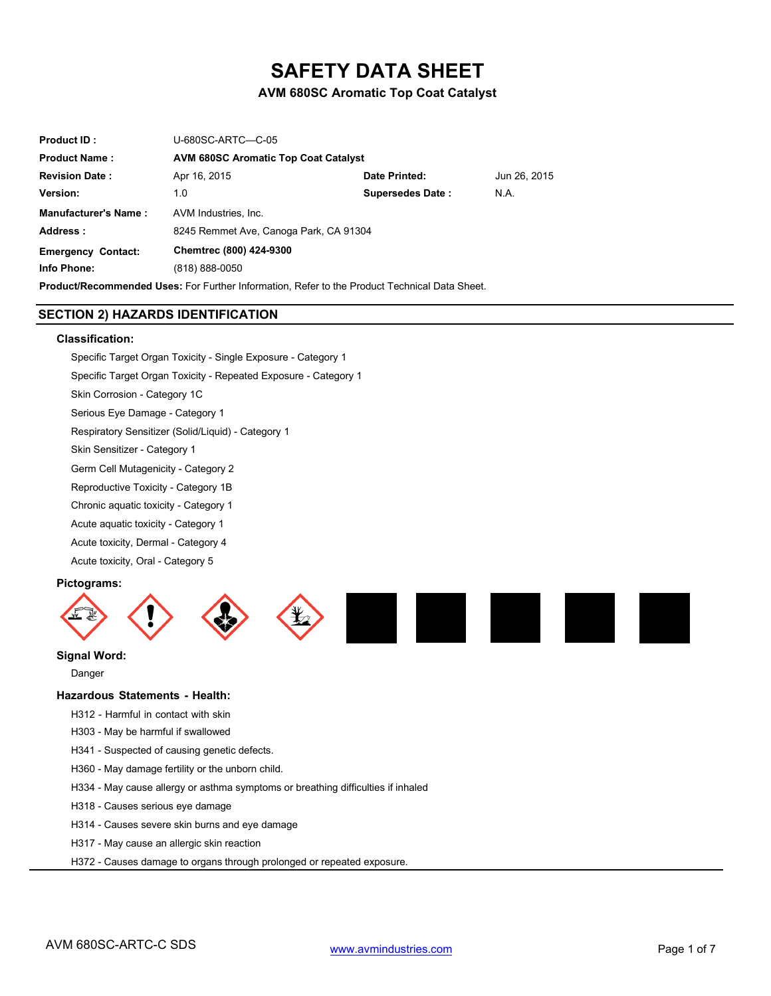# **SAFETY DATA SHEET**

# **AVM 680SC Aromatic Top Coat Catalyst**

| <b>Product ID:</b>          | U-680SC-ARTC-C-05                                                                                    |                         |              |
|-----------------------------|------------------------------------------------------------------------------------------------------|-------------------------|--------------|
| <b>Product Name:</b>        | <b>AVM 680SC Aromatic Top Coat Catalyst</b>                                                          |                         |              |
| <b>Revision Date:</b>       | Apr 16, 2015                                                                                         | Date Printed:           | Jun 26, 2015 |
| Version:                    | 1.0                                                                                                  | <b>Supersedes Date:</b> | N.A.         |
| <b>Manufacturer's Name:</b> | AVM Industries, Inc.                                                                                 |                         |              |
| Address:                    | 8245 Remmet Ave, Canoga Park, CA 91304                                                               |                         |              |
| <b>Emergency Contact:</b>   | Chemtrec (800) 424-9300                                                                              |                         |              |
| Info Phone:                 | (818) 888-0050                                                                                       |                         |              |
|                             | <b>Product/Recommended Lises:</b> For Further Information, Refer to the Product Technical Data Sheet |                         |              |

# **SECTION 2) HAZARDS IDENTIFICATION**

### **Classification:**

Specific Target Organ Toxicity - Single Exposure - Category 1 Specific Target Organ Toxicity - Repeated Exposure - Category 1 Skin Corrosion - Category 1C Serious Eye Damage - Category 1 Respiratory Sensitizer (Solid/Liquid) - Category 1 Skin Sensitizer - Category 1 Germ Cell Mutagenicity - Category 2 Reproductive Toxicity - Category 1B Chronic aquatic toxicity - Category 1 Acute aquatic toxicity - Category 1 Acute toxicity, Dermal - Category 4 Acute toxicity, Oral - Category 5

### **Pictograms:**



# **Signal Word:**

Danger

### **Hazardous Statements - Health:**

H312 - Harmful in contact with skin

H303 - May be harmful if swallowed

- H341 Suspected of causing genetic defects.
- H360 May damage fertility or the unborn child.
- H334 May cause allergy or asthma symptoms or breathing difficulties if inhaled
- H318 Causes serious eye damage
- H314 Causes severe skin burns and eye damage
- H317 May cause an allergic skin reaction
- H372 Causes damage to organs through prolonged or repeated exposure.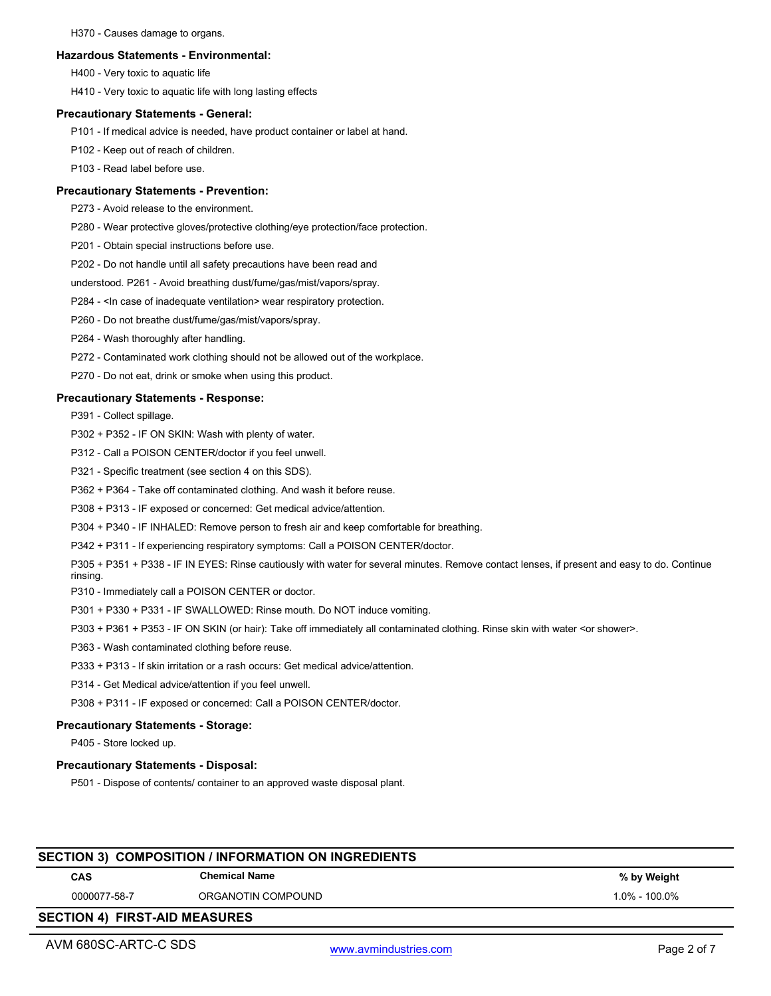H370 - Causes damage to organs.

# **Hazardous Statements - Environmental:**

H400 - Very toxic to aquatic life

H410 - Very toxic to aquatic life with long lasting effects

# **Precautionary Statements - General:**

P101 - If medical advice is needed, have product container or label at hand.

P102 - Keep out of reach of children.

P103 - Read label before use.

# **Precautionary Statements - Prevention:**

P273 - Avoid release to the environment.

P280 - Wear protective gloves/protective clothing/eye protection/face protection.

P201 - Obtain special instructions before use.

P202 - Do not handle until all safety precautions have been read and

understood. P261 - Avoid breathing dust/fume/gas/mist/vapors/spray.

P284 - <In case of inadequate ventilation> wear respiratory protection.

P260 - Do not breathe dust/fume/gas/mist/vapors/spray.

P264 - Wash thoroughly after handling.

P272 - Contaminated work clothing should not be allowed out of the workplace.

P270 - Do not eat, drink or smoke when using this product.

# **Precautionary Statements - Response:**

P391 - Collect spillage.

P302 + P352 - IF ON SKIN: Wash with plenty of water.

P312 - Call a POISON CENTER/doctor if you feel unwell.

P321 - Specific treatment (see section 4 on this SDS).

P362 + P364 - Take off contaminated clothing. And wash it before reuse.

P308 + P313 - IF exposed or concerned: Get medical advice/attention.

P304 + P340 - IF INHALED: Remove person to fresh air and keep comfortable for breathing.

P342 + P311 - If experiencing respiratory symptoms: Call a POISON CENTER/doctor.

P305 + P351 + P338 - IF IN EYES: Rinse cautiously with water for several minutes. Remove contact lenses, if present and easy to do. Continue rinsing.

P310 - Immediately call a POISON CENTER or doctor.

P301 + P330 + P331 - IF SWALLOWED: Rinse mouth. Do NOT induce vomiting.

P303 + P361 + P353 - IF ON SKIN (or hair): Take off immediately all contaminated clothing. Rinse skin with water <or shower>.

P363 - Wash contaminated clothing before reuse.

P333 + P313 - If skin irritation or a rash occurs: Get medical advice/attention.

P314 - Get Medical advice/attention if you feel unwell.

P308 + P311 - IF exposed or concerned: Call a POISON CENTER/doctor.

# **Precautionary Statements - Storage:**

P405 - Store locked up.

## **Precautionary Statements - Disposal:**

P501 - Dispose of contents/ container to an approved waste disposal plant.

| <b>CAS</b>   | <b>Chemical Name</b> | % by Weight       |
|--------------|----------------------|-------------------|
| 0000077-58-7 | ORGANOTIN COMPOUND   | $1.0\% - 100.0\%$ |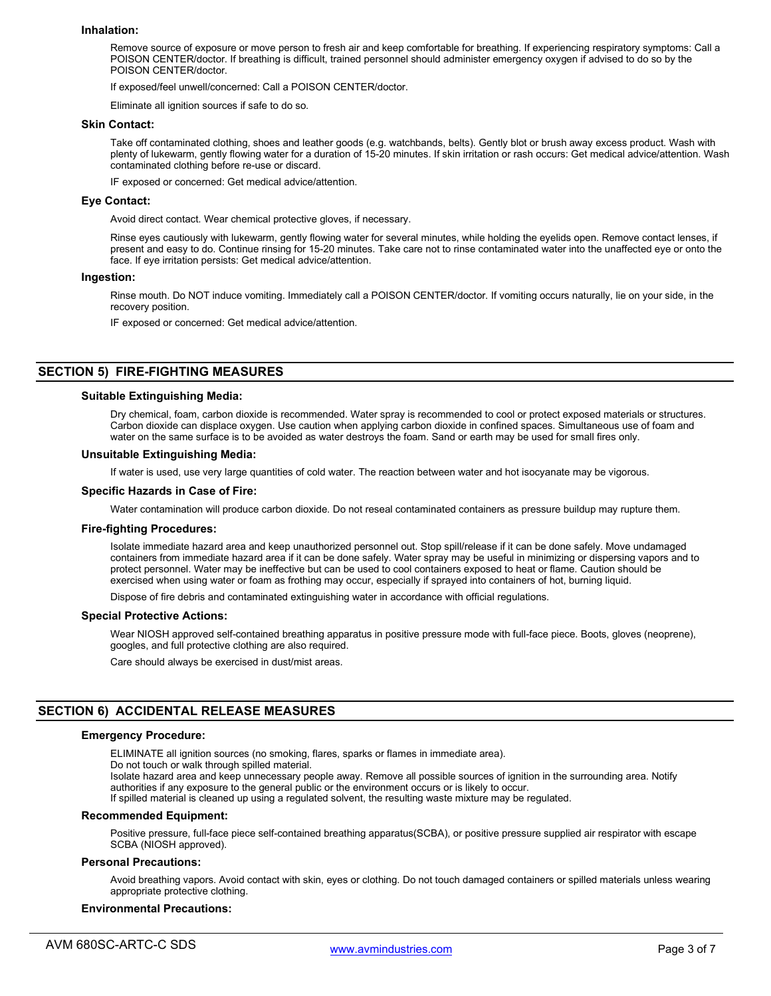### **Inhalation:**

Remove source of exposure or move person to fresh air and keep comfortable for breathing. If experiencing respiratory symptoms: Call a POISON CENTER/doctor. If breathing is difficult, trained personnel should administer emergency oxygen if advised to do so by the POISON CENTER/doctor.

If exposed/feel unwell/concerned: Call a POISON CENTER/doctor.

Eliminate all ignition sources if safe to do so.

#### **Skin Contact:**

Take off contaminated clothing, shoes and leather goods (e.g. watchbands, belts). Gently blot or brush away excess product. Wash with plenty of lukewarm, gently flowing water for a duration of 15-20 minutes. If skin irritation or rash occurs: Get medical advice/attention. Wash contaminated clothing before re-use or discard.

IF exposed or concerned: Get medical advice/attention.

### **Eye Contact:**

Avoid direct contact. Wear chemical protective gloves, if necessary.

Rinse eyes cautiously with lukewarm, gently flowing water for several minutes, while holding the eyelids open. Remove contact lenses, if present and easy to do. Continue rinsing for 15-20 minutes. Take care not to rinse contaminated water into the unaffected eye or onto the face. If eye irritation persists: Get medical advice/attention.

### **Ingestion:**

Rinse mouth. Do NOT induce vomiting. Immediately call a POISON CENTER/doctor. If vomiting occurs naturally, lie on your side, in the recovery position.

IF exposed or concerned: Get medical advice/attention.

### **SECTION 5) FIRE-FIGHTING MEASURES**

#### **Suitable Extinguishing Media:**

Dry chemical, foam, carbon dioxide is recommended. Water spray is recommended to cool or protect exposed materials or structures. Carbon dioxide can displace oxygen. Use caution when applying carbon dioxide in confined spaces. Simultaneous use of foam and water on the same surface is to be avoided as water destroys the foam. Sand or earth may be used for small fires only.

### **Unsuitable Extinguishing Media:**

If water is used, use very large quantities of cold water. The reaction between water and hot isocyanate may be vigorous.

### **Specific Hazards in Case of Fire:**

Water contamination will produce carbon dioxide. Do not reseal contaminated containers as pressure buildup may rupture them.

#### **Fire-fighting Procedures:**

Isolate immediate hazard area and keep unauthorized personnel out. Stop spill/release if it can be done safely. Move undamaged containers from immediate hazard area if it can be done safely. Water spray may be useful in minimizing or dispersing vapors and to protect personnel. Water may be ineffective but can be used to cool containers exposed to heat or flame. Caution should be exercised when using water or foam as frothing may occur, especially if sprayed into containers of hot, burning liquid.

Dispose of fire debris and contaminated extinguishing water in accordance with official regulations.

#### **Special Protective Actions:**

Wear NIOSH approved self-contained breathing apparatus in positive pressure mode with full-face piece. Boots, gloves (neoprene), googles, and full protective clothing are also required.

Care should always be exercised in dust/mist areas.

### **SECTION 6) ACCIDENTAL RELEASE MEASURES**

### **Emergency Procedure:**

ELIMINATE all ignition sources (no smoking, flares, sparks or flames in immediate area).

Do not touch or walk through spilled material.

Isolate hazard area and keep unnecessary people away. Remove all possible sources of ignition in the surrounding area. Notify authorities if any exposure to the general public or the environment occurs or is likely to occur.

If spilled material is cleaned up using a regulated solvent, the resulting waste mixture may be regulated.

### **Recommended Equipment:**

Positive pressure, full-face piece self-contained breathing apparatus(SCBA), or positive pressure supplied air respirator with escape SCBA (NIOSH approved).

#### **Personal Precautions:**

Avoid breathing vapors. Avoid contact with skin, eyes or clothing. Do not touch damaged containers or spilled materials unless wearing appropriate protective clothing.

#### **Environmental Precautions:**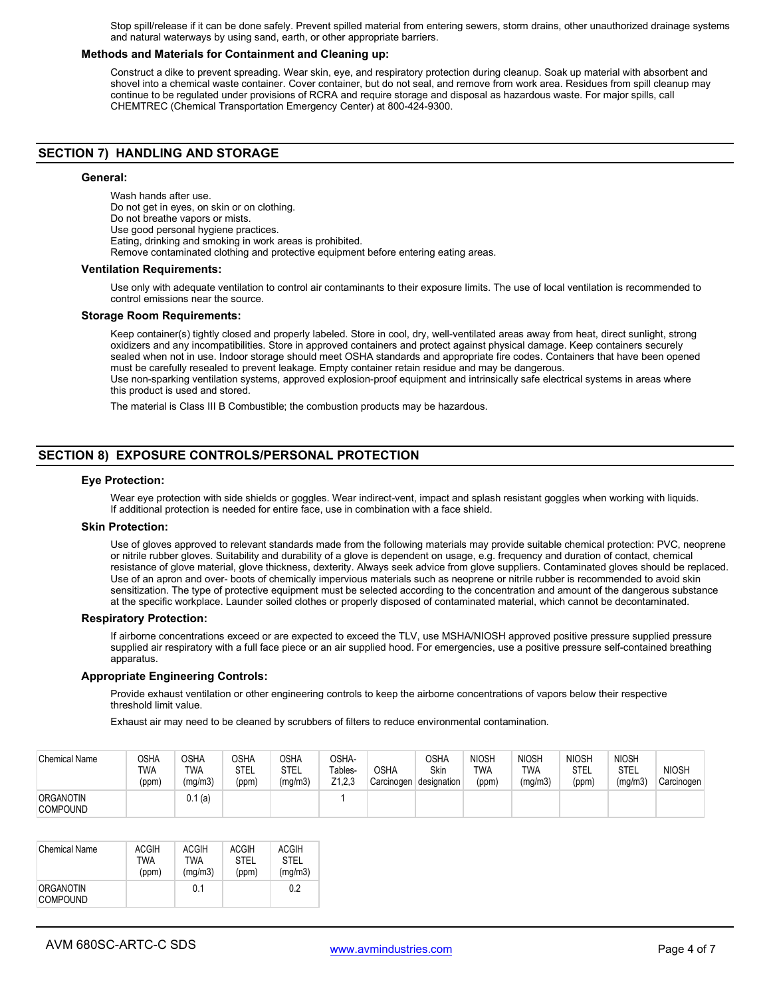Stop spill/release if it can be done safely. Prevent spilled material from entering sewers, storm drains, other unauthorized drainage systems and natural waterways by using sand, earth, or other appropriate barriers.

### **Methods and Materials for Containment and Cleaning up:**

Construct a dike to prevent spreading. Wear skin, eye, and respiratory protection during cleanup. Soak up material with absorbent and shovel into a chemical waste container. Cover container, but do not seal, and remove from work area. Residues from spill cleanup may continue to be regulated under provisions of RCRA and require storage and disposal as hazardous waste. For major spills, call CHEMTREC (Chemical Transportation Emergency Center) at 800-424-9300.

# **SECTION 7) HANDLING AND STORAGE**

#### **General:**

Wash hands after use. Do not get in eyes, on skin or on clothing. Do not breathe vapors or mists. Use good personal hygiene practices. Eating, drinking and smoking in work areas is prohibited. Remove contaminated clothing and protective equipment before entering eating areas.

#### **Ventilation Requirements:**

Use only with adequate ventilation to control air contaminants to their exposure limits. The use of local ventilation is recommended to control emissions near the source.

### **Storage Room Requirements:**

Keep container(s) tightly closed and properly labeled. Store in cool, dry, well-ventilated areas away from heat, direct sunlight, strong oxidizers and any incompatibilities. Store in approved containers and protect against physical damage. Keep containers securely sealed when not in use. Indoor storage should meet OSHA standards and appropriate fire codes. Containers that have been opened must be carefully resealed to prevent leakage. Empty container retain residue and may be dangerous. Use non-sparking ventilation systems, approved explosion-proof equipment and intrinsically safe electrical systems in areas where this product is used and stored.

The material is Class III B Combustible; the combustion products may be hazardous.

# **SECTION 8) EXPOSURE CONTROLS/PERSONAL PROTECTION**

#### **Eye Protection:**

Wear eye protection with side shields or goggles. Wear indirect-vent, impact and splash resistant goggles when working with liquids. If additional protection is needed for entire face, use in combination with a face shield.

#### **Skin Protection:**

Use of gloves approved to relevant standards made from the following materials may provide suitable chemical protection: PVC, neoprene or nitrile rubber gloves. Suitability and durability of a glove is dependent on usage, e.g. frequency and duration of contact, chemical resistance of glove material, glove thickness, dexterity. Always seek advice from glove suppliers. Contaminated gloves should be replaced. Use of an apron and over- boots of chemically impervious materials such as neoprene or nitrile rubber is recommended to avoid skin sensitization. The type of protective equipment must be selected according to the concentration and amount of the dangerous substance at the specific workplace. Launder soiled clothes or properly disposed of contaminated material, which cannot be decontaminated.

#### **Respiratory Protection:**

If airborne concentrations exceed or are expected to exceed the TLV, use MSHA/NIOSH approved positive pressure supplied pressure supplied air respiratory with a full face piece or an air supplied hood. For emergencies, use a positive pressure self-contained breathing apparatus.

### **Appropriate Engineering Controls:**

Provide exhaust ventilation or other engineering controls to keep the airborne concentrations of vapors below their respective threshold limit value.

Exhaust air may need to be cleaned by scrubbers of filters to reduce environmental contamination.

| <b>Chemical Name</b>         | OSHA<br><b>TWA</b><br>(ppm) | OSHA<br><b>TWA</b><br>(mq/m3) | <b>OSHA</b><br><b>STEL</b><br>(ppm) | OSHA<br><b>STEL</b><br>(mg/m3) | OSHA-<br>Tables-<br>Z <sub>1.2.3</sub> | <b>OSHA</b><br>Carcinogen | OSHA<br>Skin<br>designation | <b>NIOSH</b><br><b>TWA</b><br>(ppm) | <b>NIOSH</b><br><b>TWA</b><br>(mg/m3) | <b>NIOSH</b><br><b>STEL</b><br>(ppm) | <b>NIOSH</b><br><b>STEL</b><br>(mg/m3) | <b>NIOSH</b><br>Carcinogen |
|------------------------------|-----------------------------|-------------------------------|-------------------------------------|--------------------------------|----------------------------------------|---------------------------|-----------------------------|-------------------------------------|---------------------------------------|--------------------------------------|----------------------------------------|----------------------------|
| ORGANOTIN<br><b>COMPOUND</b> |                             | 0.1(a)                        |                                     |                                |                                        |                           |                             |                                     |                                       |                                      |                                        |                            |

| Chemical Name                | ACGIH | ACGIH      | ACGIH | ACGIH   |
|------------------------------|-------|------------|-------|---------|
|                              | TWA   | <b>TWA</b> | STFI  | STFI    |
|                              | (ppm) | (mq/m3)    | (ppm) | (mq/m3) |
| ORGANOTIN<br><b>COMPOUND</b> |       | 0.1        |       | 0.2     |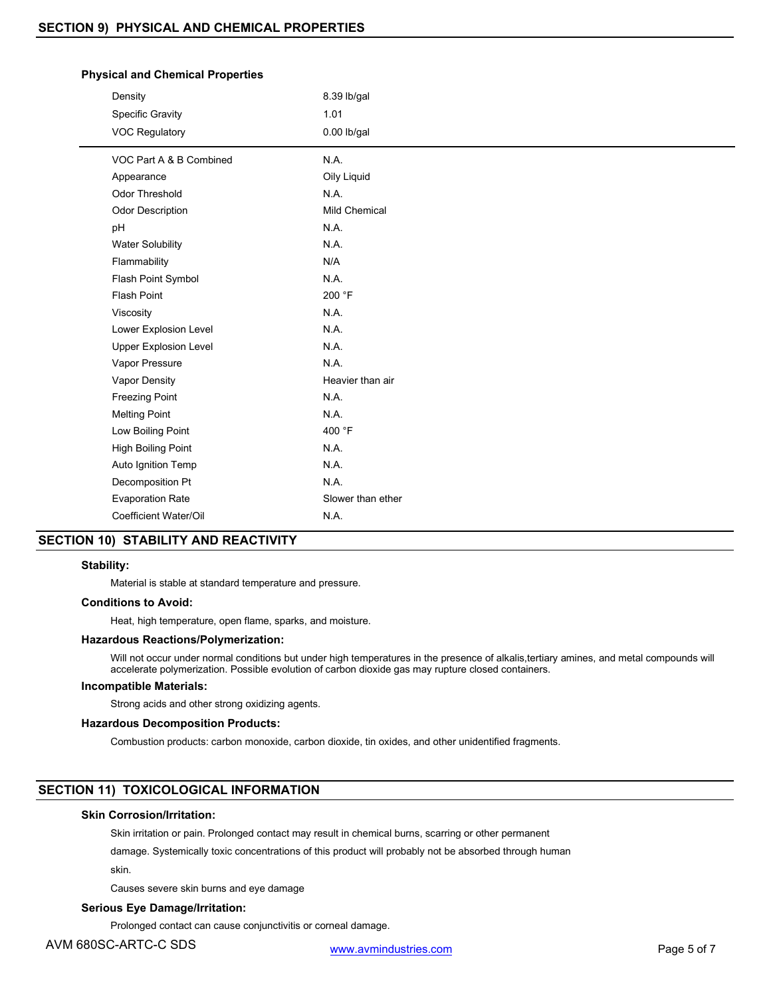### **Physical and Chemical Properties**

| Density                      | 8.39 lb/gal          |
|------------------------------|----------------------|
| Specific Gravity             | 1.01                 |
| <b>VOC Regulatory</b>        | $0.00$ lb/gal        |
| VOC Part A & B Combined      | N.A.                 |
| Appearance                   | Oily Liquid          |
| <b>Odor Threshold</b>        | N.A.                 |
| <b>Odor Description</b>      | <b>Mild Chemical</b> |
| pH                           | N.A.                 |
| <b>Water Solubility</b>      | N.A.                 |
| Flammability                 | N/A                  |
| Flash Point Symbol           | N.A.                 |
| <b>Flash Point</b>           | 200 °F               |
| Viscosity                    | N.A.                 |
| Lower Explosion Level        | N.A.                 |
| <b>Upper Explosion Level</b> | N.A.                 |
| Vapor Pressure               | N.A.                 |
| Vapor Density                | Heavier than air     |
| <b>Freezing Point</b>        | N.A.                 |
| <b>Melting Point</b>         | N.A.                 |
| Low Boiling Point            | 400 °F               |
| High Boiling Point           | N.A.                 |
| Auto Ignition Temp           | N.A.                 |
| Decomposition Pt             | N.A.                 |
| <b>Evaporation Rate</b>      | Slower than ether    |
| Coefficient Water/Oil        | N.A.                 |

# **SECTION 10) STABILITY AND REACTIVITY**

### **Stability:**

Material is stable at standard temperature and pressure.

### **Conditions to Avoid:**

Heat, high temperature, open flame, sparks, and moisture.

### **Hazardous Reactions/Polymerization:**

Will not occur under normal conditions but under high temperatures in the presence of alkalis,tertiary amines, and metal compounds will accelerate polymerization. Possible evolution of carbon dioxide gas may rupture closed containers.

### **Incompatible Materials:**

Strong acids and other strong oxidizing agents.

### **Hazardous Decomposition Products:**

Combustion products: carbon monoxide, carbon dioxide, tin oxides, and other unidentified fragments.

# **SECTION 11) TOXICOLOGICAL INFORMATION**

### **Skin Corrosion/Irritation:**

Skin irritation or pain. Prolonged contact may result in chemical burns, scarring or other permanent

damage. Systemically toxic concentrations of this product will probably not be absorbed through human

skin.

Causes severe skin burns and eye damage

# **Serious Eye Damage/Irritation:**

Prolonged contact can cause conjunctivitis or corneal damage.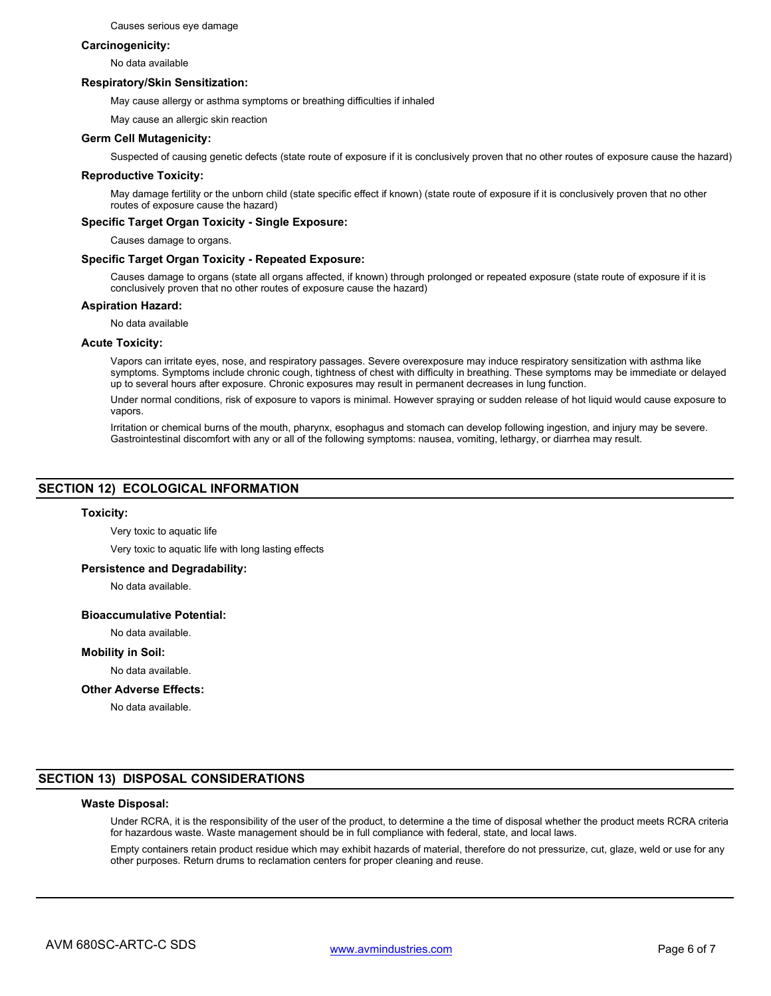Causes serious eye damage

### **Carcinogenicity:**

No data available

### **Respiratory/Skin Sensitization:**

May cause allergy or asthma symptoms or breathing difficulties if inhaled

May cause an allergic skin reaction

### **Germ Cell Mutagenicity:**

Suspected of causing genetic defects (state route of exposure if it is conclusively proven that no other routes of exposure cause the hazard)

### **Reproductive Toxicity:**

May damage fertility or the unborn child (state specific effect if known) (state route of exposure if it is conclusively proven that no other routes of exposure cause the hazard)

### **Specific Target Organ Toxicity - Single Exposure:**

Causes damage to organs.

### **Specific Target Organ Toxicity - Repeated Exposure:**

Causes damage to organs (state all organs affected, if known) through prolonged or repeated exposure (state route of exposure if it is conclusively proven that no other routes of exposure cause the hazard)

### **Aspiration Hazard:**

No data available

### **Acute Toxicity:**

Vapors can irritate eyes, nose, and respiratory passages. Severe overexposure may induce respiratory sensitization with asthma like symptoms. Symptoms include chronic cough, tightness of chest with difficulty in breathing. These symptoms may be immediate or delayed up to several hours after exposure. Chronic exposures may result in permanent decreases in lung function.

Under normal conditions, risk of exposure to vapors is minimal. However spraying or sudden release of hot liquid would cause exposure to vapors.

Irritation or chemical burns of the mouth, pharynx, esophagus and stomach can develop following ingestion, and injury may be severe. Gastrointestinal discomfort with any or all of the following symptoms: nausea, vomiting, lethargy, or diarrhea may result.

### **SECTION 12) ECOLOGICAL INFORMATION**

### **Toxicity:**

Very toxic to aquatic life

Very toxic to aquatic life with long lasting effects

### **Persistence and Degradability:**

No data available.

### **Bioaccumulative Potential:**

No data available.

### **Mobility in Soil:**

No data available.

### **Other Adverse Effects:**

No data available.

# **SECTION 13) DISPOSAL CONSIDERATIONS**

# **Waste Disposal:**

Under RCRA, it is the responsibility of the user of the product, to determine a the time of disposal whether the product meets RCRA criteria for hazardous waste. Waste management should be in full compliance with federal, state, and local laws.

Empty containers retain product residue which may exhibit hazards of material, therefore do not pressurize, cut, glaze, weld or use for any other purposes. Return drums to reclamation centers for proper cleaning and reuse.